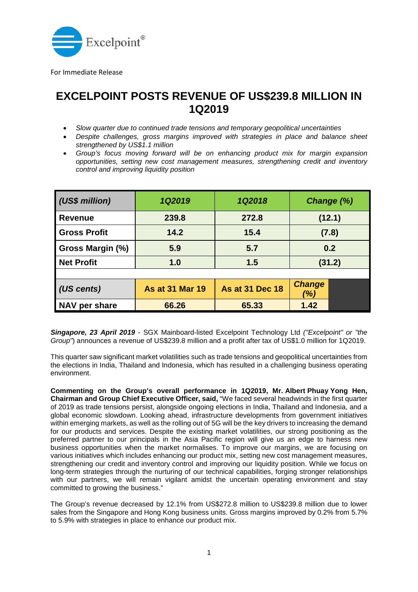

For Immediate Release

## **EXCELPOINT POSTS REVENUE OF US\$239.8 MILLION IN 1Q2019** • *Slow quarter due to continued trade tensions and temporary geopolitical uncertainties*

- 
- *Despite challenges, gross margins improved with strategies in place and balance sheet strengthened by US\$1.1 million*
- *Group's focus moving forward will be on enhancing product mix for margin expansion opportunities, setting new cost management measures, strengthening credit and inventory control and improving liquidity position*

| (US\$ million)          | 1Q2019                 | 1Q2018                 | Change (%)           |
|-------------------------|------------------------|------------------------|----------------------|
| <b>Revenue</b>          | 239.8                  | 272.8                  | (12.1)               |
| <b>Gross Profit</b>     | 14.2                   | 15.4                   | (7.8)                |
| <b>Gross Margin (%)</b> | 5.9                    | 5.7                    | 0.2                  |
| <b>Net Profit</b>       | 1.0                    | 1.5                    | (31.2)               |
|                         |                        |                        |                      |
| $\vert$ (US cents)      | <b>As at 31 Mar 19</b> | <b>As at 31 Dec 18</b> | <b>Change</b><br>(%) |
| NAV per share           | 66.26                  | 65.33                  | 1.42                 |

*Singapore, 23 April 2019* - SGX Mainboard-listed Excelpoint Technology Ltd *("Excelpoint" or "the Group"*) announces a revenue of US\$239.8 million and a profit after tax of US\$1.0 million for 1Q2019.

This quarter saw significant market volatilities such as trade tensions and geopolitical uncertainties from the elections in India, Thailand and Indonesia, which has resulted in a challenging business operating environment.

**Commenting on the Group's overall performance in 1Q2019, Mr. Albert Phuay Yong Hen, Chairman and Group Chief Executive Officer, said,** "We faced several headwinds in the first quarter of 2019 as trade tensions persist, alongside ongoing elections in India, Thailand and Indonesia, and a global economic slowdown. Looking ahead, infrastructure developments from government initiatives within emerging markets, as well as the rolling out of 5G will be the key drivers to increasing the demand for our products and services. Despite the existing market volatilities, our strong positioning as the preferred partner to our principals in the Asia Pacific region will give us an edge to harness new business opportunities when the market normalises. To improve our margins, we are focusing on various initiatives which includes enhancing our product mix, setting new cost management measures, strengthening our credit and inventory control and improving our liquidity position. While we focus on long-term strategies through the nurturing of our technical capabilities, forging stronger relationships with our partners, we will remain vigilant amidst the uncertain operating environment and stay committed to growing the business."

The Group's revenue decreased by 12.1% from US\$272.8 million to US\$239.8 million due to lower sales from the Singapore and Hong Kong business units. Gross margins improved by 0.2% from 5.7% to 5.9% with strategies in place to enhance our product mix.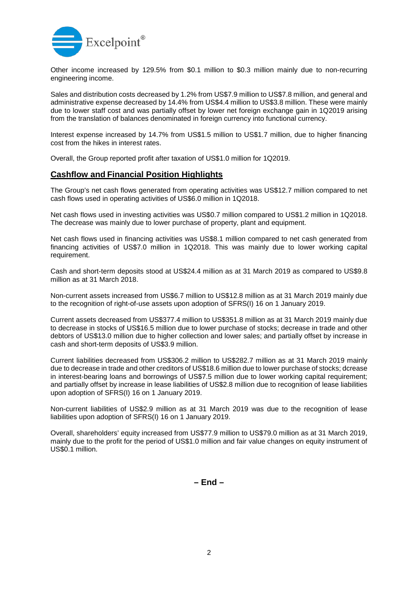

Other income increased by 129.5% from \$0.1 million to \$0.3 million mainly due to non-recurring engineering income.

Sales and distribution costs decreased by 1.2% from US\$7.9 million to US\$7.8 million, and general and administrative expense decreased by 14.4% from US\$4.4 million to US\$3.8 million. These were mainly due to lower staff cost and was partially offset by lower net foreign exchange gain in 1Q2019 arising from the translation of balances denominated in foreign currency into functional currency.

Interest expense increased by 14.7% from US\$1.5 million to US\$1.7 million, due to higher financing cost from the hikes in interest rates.

Overall, the Group reported profit after taxation of US\$1.0 million for 1Q2019.

## **Cashflow and Financial Position Highlights**

The Group's net cash flows generated from operating activities was US\$12.7 million compared to net cash flows used in operating activities of US\$6.0 million in 1Q2018.

Net cash flows used in investing activities was US\$0.7 million compared to US\$1.2 million in 1Q2018. The decrease was mainly due to lower purchase of property, plant and equipment.

Net cash flows used in financing activities was US\$8.1 million compared to net cash generated from financing activities of US\$7.0 million in 1Q2018. This was mainly due to lower working capital requirement.

Cash and short-term deposits stood at US\$24.4 million as at 31 March 2019 as compared to US\$9.8 million as at 31 March 2018.

Non-current assets increased from US\$6.7 million to US\$12.8 million as at 31 March 2019 mainly due to the recognition of right-of-use assets upon adoption of SFRS(I) 16 on 1 January 2019.

Current assets decreased from US\$377.4 million to US\$351.8 million as at 31 March 2019 mainly due to decrease in stocks of US\$16.5 million due to lower purchase of stocks; decrease in trade and other debtors of US\$13.0 million due to higher collection and lower sales; and partially offset by increase in cash and short-term deposits of US\$3.9 million.

Current liabilities decreased from US\$306.2 million to US\$282.7 million as at 31 March 2019 mainly due to decrease in trade and other creditors of US\$18.6 million due to lower purchase of stocks; dcrease in interest-bearing loans and borrowings of US\$7.5 million due to lower working capital requirement; and partially offset by increase in lease liabilities of US\$2.8 million due to recognition of lease liabilities upon adoption of SFRS(I) 16 on 1 January 2019.

Non-current liabilities of US\$2.9 million as at 31 March 2019 was due to the recognition of lease liabilities upon adoption of SFRS(I) 16 on 1 January 2019.

Overall, shareholders' equity increased from US\$77.9 million to US\$79.0 million as at 31 March 2019, mainly due to the profit for the period of US\$1.0 million and fair value changes on equity instrument of US\$0.1 million.

**– End –**